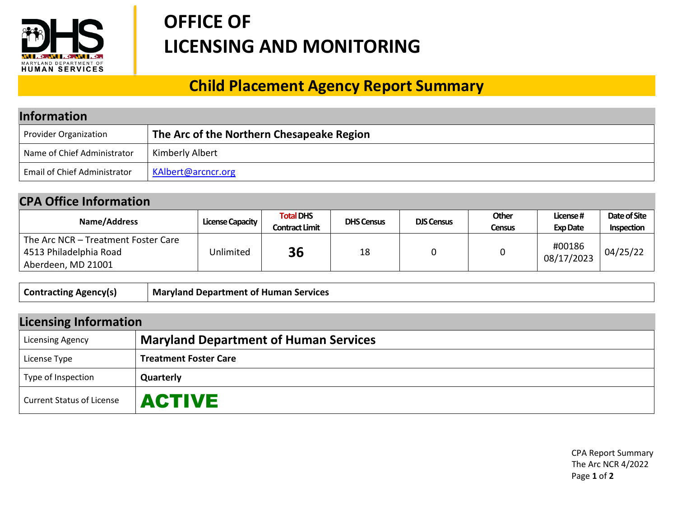

## **OFFICE OF LICENSING AND MONITORING**

## **Child Placement Agency Report Summary**

| <b>Information</b>                  |                                           |  |  |
|-------------------------------------|-------------------------------------------|--|--|
| <b>Provider Organization</b>        | The Arc of the Northern Chesapeake Region |  |  |
| Name of Chief Administrator         | Kimberly Albert                           |  |  |
| <b>Email of Chief Administrator</b> | KAlbert@arcncr.org                        |  |  |

## **CPA Office Information**

| Name/Address                                                                        | License Capacity | <b>Total DHS</b><br><b>Contract Limit</b> | <b>DHS Census</b> | <b>DJS Census</b> | Other<br>Census | License#<br><b>Exp Date</b> | Date of Site<br><b>Inspection</b> |
|-------------------------------------------------------------------------------------|------------------|-------------------------------------------|-------------------|-------------------|-----------------|-----------------------------|-----------------------------------|
| The Arc NCR – Treatment Foster Care<br>4513 Philadelphia Road<br>Aberdeen, MD 21001 | Unlimited        | 36                                        | 18                |                   |                 | #00186<br>08/17/2023        | 04/25/22                          |

| <b>Contracting Agency(s)</b> | Maryland Department of Human Services |
|------------------------------|---------------------------------------|
|------------------------------|---------------------------------------|

| <b>Licensing Information</b>     |                                              |  |  |
|----------------------------------|----------------------------------------------|--|--|
| <b>Licensing Agency</b>          | <b>Maryland Department of Human Services</b> |  |  |
| License Type                     | <b>Treatment Foster Care</b>                 |  |  |
| Type of Inspection               | Quarterly                                    |  |  |
| <b>Current Status of License</b> | <b>ACTIVE</b>                                |  |  |

CPA Report Summary The Arc NCR 4/2022 Page **1** of **2**